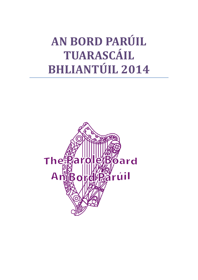# **AN BORD PARÚIL TUARASCÁIL BHLIANTÚIL 2014**

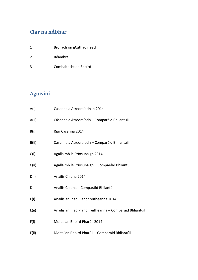# **Clár na nÁbhar**

- 1 Brollach ón gCathaoirleach
- 2 Réamhrá
- 3 Comhaltacht an Bhoird

# **Aguisíní**

| A(i)  | Cásanna a Atreoraíodh in 2014                           |
|-------|---------------------------------------------------------|
| A(ii) | Cásanna a Atreoraíodh - Comparáid Bhliantúil            |
| B(i)  | Riar Cásanna 2014                                       |
| B(ii) | Cásanna a Atreoraíodh - Comparáid Bhliantúil            |
| C(i)  | Agallaimh le Príosúnaigh 2014                           |
| C(ii) | Agallaimh le Príosúnaigh - Comparáid Bhliantúil         |
| D(i)  | Anailís Chiona 2014                                     |
| D(ii) | Anailís Chiona - Comparáid Bhliantúil                   |
| E(i)  | Anailís ar Fhad Pianbhreitheanna 2014                   |
| E(ii) | Anailís ar Fhad Pianbhreitheanna - Comparáid Bhliantúil |
| F(i)  | Moltaí an Bhoird Pharúil 2014                           |
| F(ii) | Moltaí an Bhoird Pharúil - Comparáid Bhliantúil         |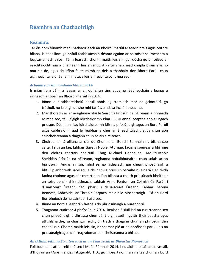## **Réamhrá an Chathaoirligh**

#### **Réamhrá:**

Tar éis dom fónamh mar Chathaoirleach an Bhoird Pharúil ar feadh breis agus ceithre bliana, is deas liom go bhfuil feabhsúcháin déanta againn ar na nósanna imeachta a leagtar amach thíos. Táim feasach, chomh maith leis sin, gur dócha go bhfoilseofar reachtaíocht nua a bhaineann leis an mBord Parúil sna chéad chúpla bliain eile nó mar sin de, agus chuirfinn fáilte roimh an deis a thabhairt don Bhord Parúil chun aighneachtaí a dhéanamh i dtaca leis an reachtaíocht nua seo.

#### *Achoimre ar Ghníomhaíochtaí in 2014*

Is mian liom béim a leagan ar an dul chun cinn agus na feabhsúcháin a leanas a rinneadh ar obair an Bhoird Pharúil in 2014:

- 1. Bíonn a n-athbhreithniú parúil anois ag tromlach mór na gciontóirí, go tráthúil, nó laistigh de shé mhí tar éis a ndáta incháilitheachta.
- 2. Mar thoradh ar ár n-aighneachtaí le Seirbhís Príosún na hÉireann a rinneadh roimhe seo, tá Oifigigh Idirchaidrimh Pharúil (OIPanna) ceaptha anois i ngach príosún. Déanann siad idirchaidreamh idir na príosúnaigh agus an Bord Parúil agus cabhraíonn siad le feabhas a chur ar éifeachtúlacht agus chun aon saincheisteanna a thagann chun solais a réiteach.
- 3. Chuireamar lá oiliúna ar siúl do Chomhaltaí Boird i Samhain na bliana seo caite. I rith an lae, labhair Gareth Noble, Aturnae, faoin eispéireas a bhí aige den chóras ceartais choiriúil. Thug Michael Donnellan, Ard-Stiúrthóir Sheirbhís Príosún na hÉireann, roghanna pobalbhunaithe chun solais ar an bpríosún. Anuas air sin, mhol sé, go hidéalach, gur cheart príosúnaigh a bhfuil pianbhreith saoil acu a chur chuig príosúin oscailte nuair atá siad réidh faoina choinne agus nár cheart don líon blianta a chaith príosúnach bheith ar an toisc aonair chinntitheach. Labhair Anne Fenton, an Coimisinéir Parúil i dTuaisceart Éireann, faoi pharúl i dTuaisceart Éireann. Labhair Serena Bennett, Abhcóide, ar Threoir Eorpach maidir le hÍospartaigh. Tá an Bord fíor-bhuíoch de na cainteoirí uile seo.
- 4. Rinne an Bord a leabhrán faisnéis do phríosúnaigh a nuashonrú.
- 5. Thugamar cuairt ar 4 phríosún in 2014. Bealach áisiúil iad na cuairteanna seo chun príosúnaigh a dhreasú chun páirt a ghlacadh i gcláir theiripeacha agus athshlánaithe, sa chás gur féidir, ón tráth a thagann chun an phríosúin den chéad uair. Chomh maith leis sin, rinneamar plé ar an bpróiseas parúil leis na príosúnaigh agus d'fhreagraíomar aon cheisteanna a bhí acu.

#### *An tAthbhreithniú Straitéiseach ar an Tuarascáil ar Bheartas Pionósach*

Foilsíodh an t-athbhreithniú seo i Meán Fómhair 2014. I ndiaidh moltaí sa tuarascáil, d'fhógair an tAire Frances Fitzgerald, T.D., go mbeartaíonn an rialtas chun an Bord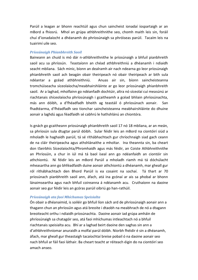Parúil a leagan ar bhonn reachtúil agus chun saincheist ionadaí íospartaigh ar an mBord a fhiosrú. Mhol an grúpa athbhreithnithe seo, chomh maith leis sin, foráil chuí d'ionadaíocht a dhéanamh do phríosúnaigh sa phróiseas parúil. Tacaím leis na tuairimí uile seo.

#### *Príosúnaigh Phianbhreith Saoil*

Baineann an chuid is mó dár n-athbhreithnithe le príosúnaigh a bhfuil pianbhreith saoil acu sa phríosún. Teastaíonn an chéad athbhreithniú a dhéanamh i ndiaidh seacht mbliana. Sách minic, bíonn an dealramh air nach ndearna go leor príosúnaigh phianbhreith saoil ach beagán obair theiripeach nó obair theiripeach ar bith sula ndéantar a gcéad athbhreithniú. Anuas air sin, bíonn saincheisteanna tromchúiseacha síceolaíocha/meabhairshláinte ar go leor príosúnaigh phianbhreith saoil. Ar a laghad, mholfainn go ndéanfadh dochtúir, altra nó síceolaí cuí measúnú ar riachtanais shíceolaíocha phríosúnaigh i gcaitheamh a gcéad bhliain phríosúnachta, más ann dóibh, a d'fhéadfadh bheith ag teastáil ó phríosúnach aonair. San fhadtéarma, d'fhéadfadh seo tionchar saincheisteanna meabhairshláinte do dhuine aonair a laghdú agus féadfaidh sé cabhrú le hathshlánú an chiontóra.

Is gnách go gcaitheann príosúnaigh phianbhreith saoil 17 nó 18 mbliana, ar an meán, sa phríosún sula dtugtar parúl dóibh. Sular féidir leis an mBord na ciontóirí siúd a mholadh le haghaidh parúil, tá sé ríthábhachtach gur chríochnaigh siad gach ceann de na cláir theiripeacha agus athshlánaithe a mholtar. Ina theannta sin, ba cheart don tSeirbhís Síceolaíochta/Phromhaidh agus más féidir, an Coiste Athbhreithnithe an Phríosúin, a chur in iúl má tá baol íseal ann go ndéanfaidh an ciontóir sin athchiontú. Ní féidir leis an mBord Parúil a mholadh riamh má tá dóchúlacht mheasartha ann go bhféadfaidh duine aonair athchiontú a dhéanamh, mar gheall gur ról ríthábhachtach den Bhord Parúil is ea cosaint na sochaí. Tá thart ar 70 príosúnach pianbhreith saoil ann, áfach, atá ina gcónaí ar ais sa phobal ar bhonn lánaimseartha agus nach bhfuil coireanna á ndéanamh acu. Cruthaíonn na daoine aonair seo gur féidir leis an gcóras parúil oibriú go han-rathúil.

#### *Príosúnaigh ata faoi Mhíchumas Speisialta*

Ón obair a dhéanaimid, is soiléir go bhfuil líon sách ard de phríosúnaigh aonair ann a thagann chun an phríosúin agus atá breoite i dtaobh na meabhrach de nó a dtagann breoiteacht orthu i ndiaidh príosúnachta. Daoine aonair iad grúpa amháin de phríosúnaigh sa chatagóir seo, atá faoi mhíchumas intleachtach nó a bhfuil riachtanais speisialta acu. Bhí ar a laghad beirt daoine den saghas sin ann a d'athbhreithníomar anuraidh a molfaí parúl dóibh. Níorbh fhéidir é sin a dhéanamh, áfach, mar gheall gur theastaigh tacaíochtaí breise pobail ó na daoine aonair seo nach bhfuil ar fáil faoi láthair. Ba cheart teacht ar réiteach éigin do na ciontóirí seo amach anseo.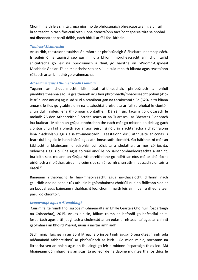Chomh maith leis sin, tá grúpa níos mó de phríosúnaigh bhreacaosta ann, a bhfuil breoiteacht iolrach fhisiciúil orthu, óna dteastaíonn tacaíocht speisialtóra sa phobal má dheonaítear parúl dóibh, nach bhfuil ar fáil faoi láthair.

#### *Tuairiscí Síciatracha*

Ar uairibh, teastaíonn tuairiscí ón mBord ar phríosúnaigh ó Shíciatraí neamhspleách. Is soiléir ó na tuairiscí seo gur minic a bhíonn mórdheacracht ann chun taifid shíciatracha go léir na bpríosúnach a fháil, go háirithe ón bPríomh-Ospidéal Meabhair-Ghalar. Tá an tsaincheist seo ar siúl le cuid mhaith blianta agus teastaíonn réiteach ar an bhfadhb go práinneacha.

#### *Athshlánú agus Ath-Imeascadh Ciontóirí*

Tugann an chodarsnacht idir rátaí atitimeachais phríosúnach a bhfuil pianbhreitheanna saoil á gcaitheamh acu faoi phromhadh/mhaoirseacht pobail (41% le trí bliana anuas) agus iad siúd a scaoiltear gan na tacaíochtaí siúd (62% le trí bliana anuas), le fios go gcabhraíonn na tacaíochtaí breise atá ar fáil sa phobal le ciontóir chun dul i ngleic lena (h)iompar ciontaithe. Dá réir sin, tacaím go díocasach le moladh 26 den Athbhreithniú Straitéiseach ar an Tuarascáil ar Bheartas Pionósach ina luaitear "Molann an grúpa athbhreithnithe nach mór go mbíonn an deis ag gach ciontóir chun fáil a bheith acu ar aon seirbhísí nó cláir riachtanacha a chabhraíonn lena n-athshlánú agus a n-ath-imeascadh. Teastaíonn díriú athnuaite ar conas is fearr dul i ngleic le hathshlánú agus ath-imeascadh ciontóirí. Go háirithe, ní mór an tábhacht a bhaineann le seirbhísí cuí sóisialta a sholáthar, ar nós cóiríochta, oideachais agus oiliúna agus cóireáil andúile nó sainchomhairleoireachta a aithint. Ina leith seo, molann an Grúpa Athbhreithnithe go ndírítear níos mó ar chóiríocht oiriúnach a sholáthar, áiseanna céim síos san áireamh chun ath-imeascadh ciontóirí a éascú."

Baineann ríthábhacht le hiar-mhaoirseacht agus iar-thacaíocht d'fhonn nach gcuirfidh daoine aonair tús athuair le gníomhaíocht choiriúil nuair a fhilleann siad ar an bpobal agus baineann ríthábhacht leo, chomh maith leis sin, nuair a dheonaítear parúl do chiontóir.

#### *Íospartaigh agus a dTeaghlaigh*

Cuirim fáilte roimh fhoilsiú Scéim Ghinearálta an Bhille Ceartais Choiriúil (Íospartaigh na Coireachta), 2015. Anuas air sin, fáiltím roimh an bhforáil go bhféadfaí an tíospartach agus a t(h)eaghlach a choimeád ar an eolas ar éisteachtaí agus ar chinntí gaolmhara an Bhoird Pharúil, nuair a iarrtar amhlaidh.

Sách minic, faigheann an Bord litreacha ó íospartaigh agus/nó óna dteaghlaigh sula ndéanaimid athbhreithniú ar phríosúnach ar leith. Go mion minic, nochtann na litreacha seo an phian agus an fhulaingt go léir a mbíonn íospartaigh thíos leo. Má bhaineann dúnmharú leis an gcás, tá go leor de na daoine muinteartha fós thíos le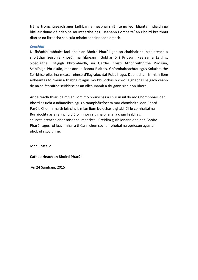tráma tromchúiseach agus fadhbanna meabhairshláinte go leor blianta i ndiaidh go bhfuair duine dá ndaoine muinteartha bás. Déanann Comhaltaí an Bhoird breithniú dian ar na litreacha seo sula mbaintear cinneadh amach.

#### *Conclúid*

Ní fhéadfaí tabhairt faoi obair an Bhoird Pharúil gan an chabhair shubstainteach a sholáthar Seirbhís Príosún na hÉireann, Gobharnóirí Príosún, Pearsanra Leighis, Síceolaithe, Oifigigh Phromhaidh, na Gardaí, Coistí Athbhreithnithe Príosúin, Séiplínigh Phríosúin, mar aon le Ranna Rialtais, Gníomhaireachtaí agus Soláthraithe Seirbhíse eile, ina measc réimse d'Eagraíochtaí Pobail agus Deonacha. Is mian liom aitheantas foirmiúil a thabhairt agus mo bhuíochas ó chroí a ghabháil le gach ceann de na soláthraithe seirbhíse as an ollchúnamh a thugann siad don Bhord.

Ar deireadh thiar, ba mhian liom mo bhuíochas a chur in iúl do mo Chomhbhaill den Bhord as ucht a ndianoibre agus a rannpháirtíochta mar chomhaltaí den Bhord Parúil. Chomh maith leis sin, is mian liom buíochas a ghabháil le comhaltaí na Rúnaíochta as a rannchuidiú ollmhór i rith na bliana, a chuir feabhais shubstainteacha ar ár nósanna imeachta. Creidim gurb ionann obair an Bhoird Pharúil agus ról luachmhar a théann chun sochair phobal na bpríosún agus an phobail i gcoitinne.

John Costello

#### **Cathaoirleach an Bhoird Pharúil**

An 24 Samhain, 2015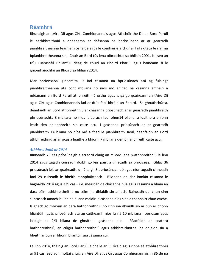### **Réamhrá**

Bhunaigh an tAire Dlí agus Cirt, Comhionannais agus Athchóirithe Dlí an Bord Parúil le hathbhreithniú a dhéanamh ar chásanna na bpríosúnach ar ar gearradh pianbhreitheanna téarma níos faide agus le comhairle a chur ar fáil i dtaca le riar na bpianbhreitheanna sin. Chuir an Bord tús lena oibríochtaí sa bhliain 2001. Is í seo an tríú Tuarascáil Bhliantúil déag de chuid an Bhoird Pharúil agus baineann sí le gníomhaíochtaí an Bhoird sa bhliain 2014.

Mar phrionsabal ginearálta, is iad cásanna na bpríosúnach atá ag fulaingt pianbhreitheanna atá ocht mbliana nó níos mó ar fad na cásanna amháin a ndéanann an Bord Parúil athbhreithniú orthu agus is gá go gcuireann an tAire Dlí agus Cirt agus Comhionannais iad ar dtús faoi bhráid an Bhoird. Sa ghnáthchúrsa, déanfaidh an Bord athbhreithniú ar chásanna príosúnach ar ar gearradh pianbhreith phríosúnachta 8 mbliana nó níos faide ach faoi bhun14 bliana, a luaithe a bhíonn leath den phianbhreith sin caite acu. I gcásanna príosúnach ar ar gearradh pianbhreith 14 bliana nó níos mó a fhad le pianbhreith saoil, déanfaidh an Bord athbhreithniú ar an gcás a luaithe a bhíonn 7 mbliana den phianbhreith caite acu.

#### *Athbhreithniú ar 2014*

Rinneadh 73 cás príosúnaigh a atreorú chuig an mBord lena n-athbhreithniú le linn 2014 agus tugadh cuireadh dóibh go léir páirt a ghlacadh sa phróiseas. Ghlac 36 príosúnach leis an gcuireadh, dhiúltaigh 8 bpríosúnach dó agus níor tugadh cinneadh faoi 29 cuireadh le bheith rannpháirteach. B'ionann an riar iomlán cásanna le haghaidh 2014 agus 339 cás – i.e. meascán de chásanna nua agus cásanna a bhain an dara céim athbhreithnithe nó céim ina dhiaidh sin amach. Baineadh dul chun cinn suntasach amach le linn na bliana maidir le cásanna níos sine a thabhairt chun críche. Is gnách go mbíonn an dara hathbhreithniú nó cinn ina dhiaidh sin ar bun ar bhonn bliantúil i gcás príosúnach atá ag caitheamh níos lú ná 10 mbliana i bpríosún agus laistigh de 2/3 bliana de ghnáth i gcásanna eile. Féadfaidh an ceathrú hathbhreithniú, an cúigiú hathbhreithniú agus athbhreithnithe ina dhiaidh sin a bheith ar bun ar bhonn bliantúil sna cásanna cuí.

Le linn 2014, tháinig an Bord Parúil le chéile ar 11 ócáid agus rinne sé athbhreithniú ar 91 cás. Seoladh moltaí chuig an Aire Dlí agus Cirt agus Comhionannais in 86 de na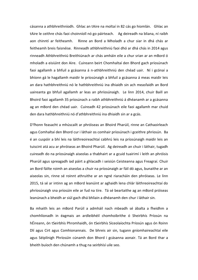cásanna a athbhreithníodh. Ghlac an tAire na moltaí in 82 cás go hiomlán. Ghlac an tAire le ceithre chás faoi choinníoll nó go páirteach. Ag deireadh na bliana, ní raibh aon chinntí ar feitheamh. Rinne an Bord a Mholadh a chur siar in dhá chás ar feitheamh breis faisnéise. Rinneadh athbhreithniú faoi dhó ar dhá chás in 2014 agus rinneadh Athbhreithniú Breithiúnach ar chás amháin eile a chur srian ar an mBord ó mholadh a eisiúint don Aire. Cuireann beirt Chomhaltaí den Bhord gach príosúnach faoi agallamh a bhfuil a gcásanna á n-athbhreithniú den chéad uair. Ní i gcónaí a bhíonn gá le hagallamh maidir le príosúnaigh a bhfuil a gcásanna á meas maidir leis an dara hathbhreithniú nó le hathbhreithniú ina dhiaidh sin ach measfaidh an Bord uaireanta go bhfuil agallamh ar leas an phríosúnaigh. Le linn 2014, chuir Baill an Bhoird faoi agallamh 35 príosúnach a raibh athbhreithniú á dhéanamh ar a gcásanna ag an mBord den chéad uair. Cuireadh 42 príosúnach eile faoi agallamh mar chuid den dara hathbhreithniú nó d'athbhreithniú ina dhiaidh sin ar a gcás.

D'fhonn feasacht a mhúscailt ar phróiseas an Bhoird Pharúil, rinne an Cathaoirleach agus Comhaltaí den Bhord cur i láthair os comhair príosúnach i gceithre phríosún. Ba é an cuspóir a bhí leis na láithreoireachtaí cabhrú leis na príosúnaigh maidir leis an tuiscint atá acu ar phróiseas an Bhoird Pharúil. Ag deireadh an chuir i láthair, tugadh cuireadh do na príosúnaigh aiseolas a thabhairt ar a gcuid tuairimí i leith an phróisis Pharúil agus spreagadh iad páirt a ghlacadh i seisiún Ceisteanna agus Freagraí. Chuir an Bord fáilte roimh an aiseolas a chuir na príosúnaigh ar fáil dó agus, bunaithe ar an aiseolas sin, rinne sé roinnt athruithe ar an ngné riaracháin den phróiseas. Le linn 2015, tá sé ar intinn ag an mBord leanúint ar aghaidh lena chlár láithreoireachtaí do phríosúnaigh sna príosúin eile ar fud na tíre. Tá sé beartaithe ag an mBord próiseas leanúnach a bheidh ar siúl gach dhá bhliain a dhéanamh den chur i láthair sin.

Ba mhaith leis an mBord Parúil a admháil nach mbeadh sé ábalta a fheidhm a chomhlíonadh in éagmais an ardleibhéil chomhoibrithe ó Sheirbhís Príosún na hÉireann, ón tSeirbhís Phromhaidh, ón tSeirbhís Síceolaíochta Príosún agus ón Roinn Dlí agus Cirt agus Comhionannais. De bhreis air sin, tugann gníomhaireachtaí eile agus Séiplínigh Phríosúin cúnamh don Bhord i gcásanna aonair. Tá an Bord thar a bheith buíoch den chúnamh a thug na seirbhísí uile seo.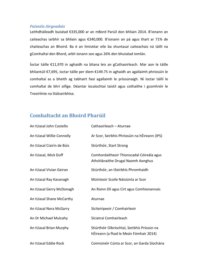#### *Faisnéis Airgeadais*

Leithdháileadh buiséad €335,000 ar an mBord Parúil don bhliain 2014. B'ionann an caiteachas iarbhír sa bhliain agus €340,000. B'ionann an pá agus thart ar 71% de chaiteachas an Bhoird. Ba é an limistéar eile ba shuntasaí caiteachais ná táillí na gComhaltaí den Bhord, arbh ionann seo agus 26% den bhuiséad iomlán.

Íoctar táille €11,970 in aghaidh na bliana leis an gCathaoirleach. Mar aon le táille bhliantúil €7,695, íoctar táille per diem €149.75 in aghaidh an agallaimh phríosúin le comhaltaí as a bheith ag tabhairt faoi agallaimh le príosúnaigh. Ní íoctar táillí le comhaltaí de bhrí oifige. Déantar íocaíochtaí taistil agus cothaithe i gcomhréir le Treoirlínte na Státseirbhíse.

## **Comhaltacht an Bhoird Pharúil**

| An tUasal John Costello   | Cathaoirleach - Aturnae                                                               |
|---------------------------|---------------------------------------------------------------------------------------|
| An tUasal Willie Connolly | Ar Scor, Seirbhís Phríosúin na hÉireann (IPS)                                         |
| An tUasal Ciairín de Búis | Stiúrthóir, Start Strong                                                              |
| An tUasal, Mick Duff      | Comhordaitheoir Thionscadal Cóireála agus<br>Athshlánaithe Drugaí Naomh Aonghus       |
| An tUasal Vivian Geiran   | Stiúrthóir, an tSeirbhís Phromhaidh                                                   |
| An tUasal Ray Kavanagh    | Múinteoir Scoile Náisiúnta ar Scor                                                    |
| An tUasal Gerry McDonagh  | An Roinn Dlí agus Cirt agus Comhionannais                                             |
| An tUasal Shane McCarthy  | Aturnae                                                                               |
| An tUasal Nora McGarry    | Síciteiripeoir / Comhairleoir                                                         |
| An Dr Michael Mulcahy     | Síciatraí Comhairleach                                                                |
| An tUasal Brian Murphy    | Stiúrthóir Oibríochtaí, Seirbhís Príosún na<br>hÉireann (a fhad le Meán Fómhair 2014) |
| An tUasal Eddie Rock      | Coimisinéir Cúnta ar Scor, an Garda Síochána                                          |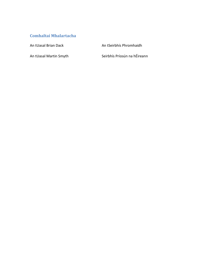## **Comhaltaí Mhalartacha**

An tUasal Brian Dack An tSeirbhís Phromhaidh

An tUasal Martin Smyth Seirbhís Príosún na hÉireann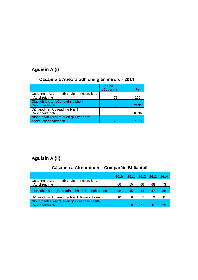| Aguisín A (i)                                                   |                     |       |
|-----------------------------------------------------------------|---------------------|-------|
| Cásanna a Atreoraíodh chuig an mBord - 2014                     |                     |       |
|                                                                 | Líon na<br>gCásanna | %     |
| Cásanna a Atreoraíodh chuig an mBord lena<br>nAthbhreithniú     | 73                  | 100   |
| Glacadh leis an gCuireadh le bheith<br>Rannpháirteach           | 36                  | 49.32 |
| Diúltaíodh an Cuireadh le bheith<br>Rannpháirteach              | 8                   | 10.96 |
| Níor tugadh Freagra ar an gCuireadh le<br>bheith Rannpháirteach | 29                  | 39.73 |

| Aguisín A (ii)                                                  |      |      |      |      |      |
|-----------------------------------------------------------------|------|------|------|------|------|
| Cásanna a Atreoraíodh – Comparáid Bhliantúil                    |      |      |      |      |      |
|                                                                 | 2010 | 2011 | 2012 | 2013 | 2014 |
| Cásanna a Atreoraíodh chuig an mBord lena<br>nAthbhreithniú     | 66   | 65   | 66   | 68   | 73   |
| Glacadh leis an gCuireadh le bheith Rannpháirteach              | 48   | 45   | 44   | 47   | 36   |
| Diúltaíodh an Cuireadh le bheith Rannpháirteach                 | 16   | 10   | 17   | 13   | 8    |
| Níor tugadh Freagra ar an gCuireadh le bheith<br>Rannpháirteach | 2    | 10   | 5    | 8    | 29   |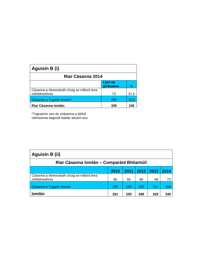| Aguisín B (i)                                               |                     |      |
|-------------------------------------------------------------|---------------------|------|
| Riar Cásanna 2014                                           |                     |      |
|                                                             | Líon na<br>gCásanna | ℅    |
| Cásanna a Atreoraíodh chuig an mBord lena<br>nAthbhreithniú | 73                  | 21.5 |
| Cásanna a Tugadh Anonn*                                     | 266                 | 78.5 |
| Riar Cásanna Iomlán                                         | 339                 |      |

\*Tagraíonn seo do chásanna a bhfuil céimeanna éagsúla bainte amach acu

| Aguisín B (ii)                                              |      |      |      |      |      |
|-------------------------------------------------------------|------|------|------|------|------|
| Riar Cásanna Iomlán – Comparáid Bhliantúil                  |      |      |      |      |      |
|                                                             | 2010 | 2011 | 2012 | 2013 | 2014 |
| Cásanna a Atreoraíodh chuig an mBord lena<br>nAthbhreithniú | 66   | 65   | 66   | 68   | 73   |
| Cásanna a Tugadh Anonn                                      | 195  | 140  | 202  | 261  | 266  |
| <b>Iomlán</b>                                               | 261  | 205  | 268  | 329  | 339  |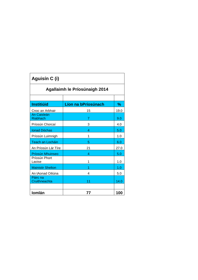| Aguisín C (i)                        |                     |      |  |  |  |
|--------------------------------------|---------------------|------|--|--|--|
| <b>Agallaimh le Príosúnaigh 2014</b> |                     |      |  |  |  |
|                                      |                     |      |  |  |  |
| <b>Institiúid</b>                    | Líon na bPríosúnach | %    |  |  |  |
| Cnoc an Arbhair                      | 15                  | 19.0 |  |  |  |
| An Caisleán<br><b>Riabhach</b>       | 7                   | 9.0  |  |  |  |
| Príosún Chorcaí                      | 3                   | 4.0  |  |  |  |
| <b>Ionad Dóchas</b>                  | 4                   | 5.0  |  |  |  |
| Príosún Luimnigh                     | 1                   | 1.0  |  |  |  |
| <b>Teach an Locháin</b>              | 5                   | 6.0  |  |  |  |
| An Príosún Lár Tíre                  | 21                  | 27.0 |  |  |  |
| Príosún Mhuinseo                     | 4                   | 5.0  |  |  |  |
| Príosún Phort<br>Laoise              | 1                   | 1.0  |  |  |  |
| <b>Mainistir Shelton</b>             | 1                   | 1.0  |  |  |  |
| An tAonad Oiliúna                    | 4                   | 5.0  |  |  |  |
| Páirc na<br>Cruithneachta            | 11                  | 14.0 |  |  |  |
| Iomlán                               | 77                  | 100  |  |  |  |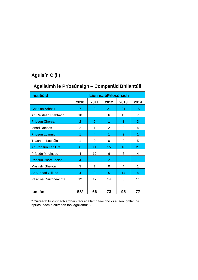| Aguisín C (ii)                                  |                |                |                     |                |      |
|-------------------------------------------------|----------------|----------------|---------------------|----------------|------|
| Agallaimh le Príosúnaigh - Comparáid Bhliantúil |                |                |                     |                |      |
| <b>Institiúid</b>                               |                |                | Líon na bPríosúnach |                |      |
|                                                 | 2010           | 2011           | 2012                | 2013           | 2014 |
| Cnoc an Arbhair                                 | 7              | 9              | 21                  | 21             | 15   |
| An Caisleán Riabhach                            | 10             | 6              | 6                   | 15             | 7    |
| Príosún Chorcaí                                 | 2              | $\overline{2}$ | 1                   | 1              | 3    |
| Ionad Dóchas                                    | $\overline{2}$ | 1              | $\overline{2}$      | $\overline{2}$ | 4    |
| Príosún Luimnigh                                | 1              | 4              | 1                   | $\overline{2}$ | 1    |
| Teach an Locháin                                | 1              | 0              | 0                   | 0              | 5    |
| An Príosún Lár Tíre                             | 8              | 11             | 15                  | 18             | 21   |
| Príosún Mhuinseo                                | 4              | 12             | 6                   | 6              | 4    |
| Príosún Phort Laoise                            | 4              | 5              | $\overline{2}$      | 6              | 1    |
| <b>Mainistir Shelton</b>                        | 3              | 1              | 0                   | 4              | 1    |
| An tAonad Oiliúna                               | 4              | 3              | 5                   | 14             | 4    |
| Páirc na Cruithneachta                          | 12             | 12             | 14                  | 6              | 11   |
|                                                 |                |                |                     |                |      |
| <b>Iomlán</b>                                   | 58*            | 66             | 73                  | 95             | 77   |

\* Cuireadh Príosúnach amháin faoi agallamh faoi dhó - i.e. líon iomlán na bpríosúnach a cuireadh faoi agallamh: 59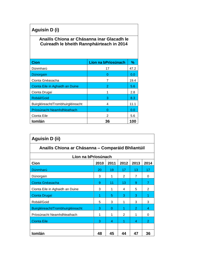# **Aguisín D (i)**

## **Anailís Chiona ar Chásanna inar Glacadh le Cuireadh le bheith Rannpháirteach in 2014**

| <b>Cion</b>                        | Líon na bPríosúnach | %    |
|------------------------------------|---------------------|------|
| Dúnmharú                           | 17                  | 47.2 |
| Dúnorgain                          | O                   | 0.0  |
| Cionta Gnéasacha                   | 7                   | 19.4 |
| Cionta Eile in Aghaidh an Duine    | 2                   | 5.6  |
| Cionta Drugaí                      |                     | 2.8  |
| Robáil/Goid                        | З                   | 8.3  |
| Buirgléireacht/Trombhuirgléireacht | 4                   | 11.1 |
| Príosúnacht Neamhdhleathach        | O                   | 0.0  |
| Cionta Eile                        | 2                   | 5.6  |
| <b>Iomlán</b>                      | 36                  | 100  |

| Aguisín D (ii)                                    |      |          |                |                |                |
|---------------------------------------------------|------|----------|----------------|----------------|----------------|
| Anailís Chiona ar Chásanna – Comparáid Bhliantúil |      |          |                |                |                |
| Líon na bPríosúnach                               |      |          |                |                |                |
| Cion                                              | 2010 | 2011     | 2012           | 2013           | 2014           |
| Dúnmharú                                          | 20   | 19       | 17             | 13             | 17             |
| Dúnorgain                                         | 3    | 1        | 2              | $\overline{7}$ | 0              |
| Cionta Gnéasacha                                  | 9    | 11       | 13             | 9              | $\overline{7}$ |
| Cionta Eile in Aghaidh an Duine                   | 3    | 1        | 4              | 5              | 2              |
| Cionta Drugaí                                     | 1    | 5        | 3              | 3              | 1              |
| Robáil/Goid                                       | 5    | 3        | 1              | 3              | 3              |
| Buirgléireacht/Trombhuirgléireacht                | з    | $\Omega$ | 1              | 2              | 4              |
| Príosúnacht Neamhdhleathach                       | 1    | 1        | $\mathfrak{p}$ | 1              | 0              |
| <b>Cionta Eile</b>                                | 3    | 4        | 1              | 4              | $\overline{2}$ |
|                                                   |      |          |                |                |                |
| Iomlán                                            | 48   | 45       | 44             | 47             | 36             |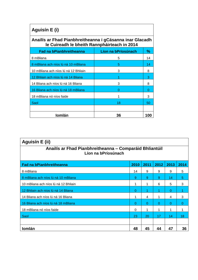| Aguisín E (i)                                                                                            |                     |     |  |  |  |  |
|----------------------------------------------------------------------------------------------------------|---------------------|-----|--|--|--|--|
| Anailís ar Fhad Pianbhreitheanna i gCásanna inar Glacadh<br>le Cuireadh le bheith Rannpháirteach in 2014 |                     |     |  |  |  |  |
| <b>Fad na bPianbhreitheanna</b>                                                                          | Líon na bPríosúnach | %   |  |  |  |  |
| 8 mBliana                                                                                                | 5                   | 14  |  |  |  |  |
| 8 mBliana ach níos lú ná 10 mBliana                                                                      | 5                   | 14  |  |  |  |  |
| 10 mBliana ach níos lú ná 12 Bhliain                                                                     | 3                   | 8   |  |  |  |  |
| 12 Bhliain ach níos lú ná 14 Bliana                                                                      |                     | 3   |  |  |  |  |
| 14 Bliana ach níos lú ná 16 Bliana                                                                       | 3                   | 8   |  |  |  |  |
| 16 Bliana ach níos lú ná 18 mBliana                                                                      | O                   | O   |  |  |  |  |
| 18 mBliana nó níos faide                                                                                 |                     | 3   |  |  |  |  |
| Saol                                                                                                     | 18                  | 50  |  |  |  |  |
|                                                                                                          |                     |     |  |  |  |  |
| <b>Iomlán</b>                                                                                            | 36                  | 100 |  |  |  |  |

| Aguisín E (ii)                                                                 |          |      |          |          |      |
|--------------------------------------------------------------------------------|----------|------|----------|----------|------|
| Anailís ar Fhad Pianbhreitheanna - Comparáid Bhliantúil<br>Líon na bPríosúnach |          |      |          |          |      |
| <b>Fad na bPianbhreitheanna</b>                                                | 2010     | 2011 | 2012     | 2013     | 2014 |
| 8 mBliana                                                                      | 14       | 9    | 9        | 9        | 5    |
| 8 mBliana ach níos lú ná 10 mBliana                                            | 9        | 9    | 9        | 14       | 5    |
| 10 mBliana ach níos lú ná 12 Bhliain                                           | 1        | 1    | 6        | 5        | 3    |
| 12 Bhliain ach níos lú ná 14 Bliana                                            | $\Omega$ |      | 4        | $\Omega$ | 1    |
| 14 Bliana ach níos lú ná 16 Bliana                                             | 1        | 4    | 1        | 4        | 3    |
| 16 Bliana ach níos lú ná 18 mBliana                                            | 0        | 0    | $\Omega$ | $\Omega$ | 0    |
| 18 mBliana nó níos faide                                                       | $\Omega$ | 1    | 1        | 1        | 1    |
| Saol                                                                           | 23       | 20   | 17       | 14       | 18   |
|                                                                                |          |      |          |          |      |
| <b>Iomlán</b>                                                                  | 48       | 45   | 44       | 47       | 36   |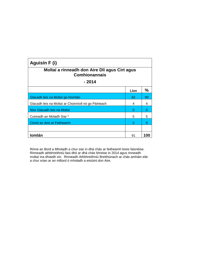| Aguisín F (i)                                                         |      |               |  |  |  |  |
|-----------------------------------------------------------------------|------|---------------|--|--|--|--|
| Moltaí a rinneadh don Aire Dlí agus Cirt agus<br><b>Comhionannais</b> |      |               |  |  |  |  |
| $-2014$                                                               |      |               |  |  |  |  |
|                                                                       | Líon | $\frac{0}{0}$ |  |  |  |  |
| Glacadh leis na Moltaí go hIomlán                                     | 82   | 90            |  |  |  |  |
| Glacadh leis na Moltaí ar Choinníoll nó go Páirteach                  | 4    | 4             |  |  |  |  |
| Níor Glacadh leis na Moltaí                                           | O    | Ω             |  |  |  |  |
| Cuireadh an Moladh Siar *                                             | 5    | 5             |  |  |  |  |
| Cinntí an Aire ar Feitheamh                                           |      |               |  |  |  |  |
|                                                                       |      |               |  |  |  |  |
| <b>Iomlán</b>                                                         | 91   | 100           |  |  |  |  |

Rinne an Bord a Mholadh a chur siar in dhá chás ar feitheamh breis faisnéise. Rinneadh athbhreithniú faoi dhó ar dhá chás bhreise in 2014 agus rinneadh moltaí ina dhiaidh sin. Rinneadh Athbhreithniú Breithiúnach ar chás amháin eile a chur srian ar an mBord ó mholadh a eisiúint don Aire.